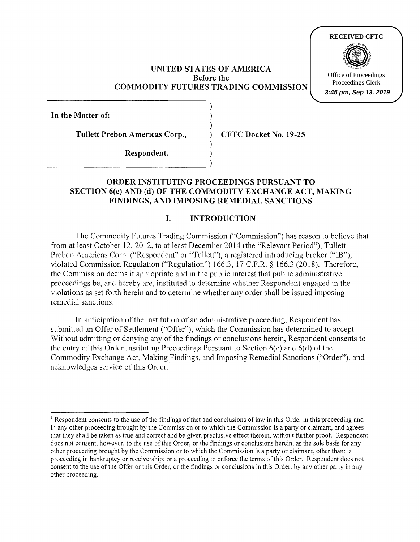### **UNITED STATES OF AMERICA Before the COMMODITY FUTURES TRADING COMMISSION**

) ) )

)

**In the Matter of:** 

**Tullett Prebon Americas Corp.,** ) **CFTC Docket No. 19-25** 

**Respondent.** )  $\begin{tabular}{c}c@{\hspace{1em}}l@{\hspace{1em}}l@{\hspace{1em}}l@{\hspace{1em}}l@{\hspace{1em}}l@{\hspace{1em}}l@{\hspace{1em}}l@{\hspace{1em}}l@{\hspace{1em}}l@{\hspace{1em}}l@{\hspace{1em}}l@{\hspace{1em}}l@{\hspace{1em}}l@{\hspace{1em}}l@{\hspace{1em}}l@{\hspace{1em}}l@{\hspace{1em}}l@{\hspace{1em}}l@{\hspace{1em}}l@{\hspace{1em}}l@{\hspace{1em}}l@{\hspace{1em}}l@{\hspace{1em}}l@{\hspace$ 

# **ORDER INSTITUTING PROCEEDINGS PURSUANT TO SECTION 6(c) AND (d) OF THE COMMODITY EXCHANGE ACT, MAKING FINDINGS, AND IMPOSING REMEDIAL SANCTIONS**

# **I. INTRODUCTION**

The Commodity Futures Trading Commission ("Commission") has reason to believe that from at least October 12, 2012, to at least December 2014 (the "Relevant Period"), Tullett Prebon Americas Corp. ("Respondent" or "Tullett"), a registered introducing broker ("IB"), violated Commission Regulation ("Regulation") 166.3, 17 C.F.R. § 166.3 (2018). Therefore, the Commission deems it appropriate and in the public interest that public administrative proceedings be, and hereby are, instituted to determine whether Respondent engaged in the violations as set forth herein and to determine whether any order shall be issued imposing remedial sanctions.

In anticipation of the institution of an administrative proceeding, Respondent has submitted an Offer of Settlement ("Offer"), which the Commission has determined to accept. Without admitting or denying any of the findings or conclusions herein, Respondent consents to the entry of this Order Instituting Proceedings Pursuant to Section 6(c) and 6(d) of the Commodity Exchange Act, Making Findings, and Imposing Remedial Sanctions ("Order"), and acknowledges service of this Order.<sup>1</sup>



<sup>&</sup>lt;sup>1</sup> Respondent consents to the use of the findings of fact and conclusions of law in this Order in this proceeding and in any other proceeding brought by the Commission or to which the Commission is a party or claimant, and agrees that they shall be taken as true and correct and be given preclusive effect therein, without further proof. Respondent does not consent, however, to the use of this Order, or the findings or conclusions herein, as the sole basis for any other proceeding brought by the Commission or to which the Commission is a party or claimant, other than: a proceeding in bankruptcy or receivership; or a proceeding to enforce the terms of this Order. Respondent does not consent to the use of the Offer or this Order, or the findings or conclusions in this Order, by any other party in any other proceeding.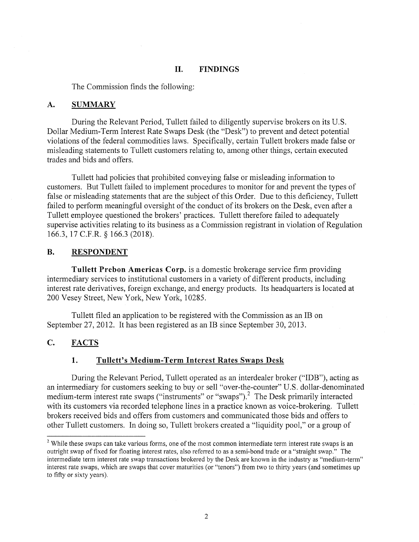#### **II. FINDINGS**

The Commission finds the following:

#### **A. SUMMARY**

During the Relevant Period, Tullett failed to diligently supervise brokers on its U.S. Dollar Medium-Term Interest Rate Swaps Desk (the "Desk") to prevent and detect potential violations of the federal commodities laws. Specifically, certain Tullett brokers made false or misleading statements to Tullett customers relating to, among other things, certain executed trades and bids and offers.

Tullett had policies that prohibited conveying false or misleading information to customers. But Tullett failed to implement procedures to monitor for and prevent the types of false or misleading statements that are the subject of this Order. Due to this deficiency, Tullett failed to perform meaningful oversight of the conduct of its brokers on the Desk, even after a Tullett employee questioned the brokers' practices. Tullett therefore failed to adequately supervise activities relating to its business as a Commission registrant in violation of Regulation 166.3, 17 C.F.R. § 166.3 (2018).

### **B. RESPONDENT**

**Tullett Prebon Americas Corp.** is a domestic brokerage service firm providing intermediary services to institutional customers in a variety of different products, including interest rate derivatives, foreign exchange, and energy products. Its headquarters is located at 200 Vesey Street, New York, New York, 10285.

Tullett filed an application to be registered with the Commission as an 1B on September 27, 2012. It has been registered as an IB since September 30, 2013.

### **C. FACTS**

### **1. Tullett's Medium-Term Interest Rates Swaps Desk**

During the Relevant Period, Tullett operated as an interdealer broker ("IDB"), acting as an intermediary for customers seeking to buy or sell "over-the-counter" U.S. dollar-denominated medium-term interest rate swaps ("instruments" or "swaps").<sup>2</sup> The Desk primarily interacted with its customers via recorded telephone lines in a practice known as voice-brokering. Tullett brokers received bids and offers from customers and communicated those bids and offers to other Tullett customers. In doing so, Tullett brokers created a "liquidity pool," or a group of

<sup>&</sup>lt;sup>2</sup> While these swaps can take various forms, one of the most common intermediate term interest rate swaps is an outright swap of fixed for floating interest rates, also referred to as a semi-bond trade or a "straight swap." The intermediate term interest rate swap transactions brokered by the Desk are known in the industry as "medium-term" interest rate swaps, which are swaps that cover maturities (or "tenors") from two to thirty years (and sometimes up to fifty or sixty years).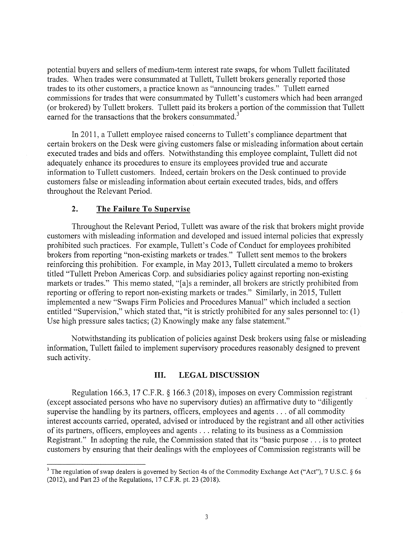potential buyers and sellers of medium-term interest rate swaps, for whom Tullett facilitated trades. When trades were consummated at Tullett, Tullett brokers generally reported those trades to its other customers, a practice known as "announcing trades." Tullett earned commissions for trades that were consummated by Tullett's customers which had been arranged (or brokered) by Tullett brokers. Tullett paid its brokers a portion of the commission that Tullett earned for the transactions that the brokers consummated.<sup>3</sup>

In 2011, a Tullett employee raised concerns to Tullett' s compliance department that certain brokers on the Desk were giving customers false or misleading information about certain executed trades and bids and offers. Notwithstanding this employee complaint, Tullett did not adequately enhance its procedures to ensure its employees provided true and accurate information to Tullett customers. Indeed, certain brokers on the Desk continued to provide customers false or misleading information about certain executed trades, bids, and offers throughout the Relevant Period.

### **2. The Failure To Supervise**

Throughout the Relevant Period, Tullett was aware of the risk that brokers might provide customers with misleading information and developed and issued internal policies that expressly prohibited such practices. For example, Tullett's Code of Conduct for employees prohibited brokers from reporting "non-existing markets or trades." Tullett sent memos to the brokers reinforcing this prohibition. For example, in May 2013, Tullett circulated a memo to brokers titled "Tullett Prebon Americas Corp. and subsidiaries policy against reporting non-existing markets or trades." This memo stated, "[a]s a reminder, all brokers are strictly prohibited from reporting or offering to report non-existing markets or trades." Similarly, in 2015, Tullett implemented a new "Swaps Firm Policies and Procedures Manual" which included a section entitled "Supervision," which stated that, "it is strictly prohibited for any sales personnel to: (1) Use high pressure sales tactics; (2) Knowingly make any false statement."

Notwithstanding its publication of policies against Desk brokers using false or misleading information, Tullett failed to implement supervisory procedures reasonably designed to prevent such activity.

#### **III. LEGAL DISCUSSION**

Regulation 166.3, 17 C.F.R. § 166.3 (2018), imposes on every Commission registrant (except associated persons who have no supervisory duties) an affirmative duty to "diligently supervise the handling by its partners, officers, employees and agents ... of all commodity interest accounts carried, operated, advised or introduced by the registrant and all other activities of its partners, officers, employees and agents ... relating to its business as a Commission Registrant." In adopting the rule, the Commission stated that its "basic purpose ... is to protect customers by ensuring that their dealings with the employees of Commission registrants will be

<sup>&</sup>lt;sup>3</sup> The regulation of swap dealers is governed by Section 4s of the Commodity Exchange Act ("Act"), 7 U.S.C. § 6s (2012), and Part 23 of the Regulations, 17 C.F.R. pt. 23 (2018).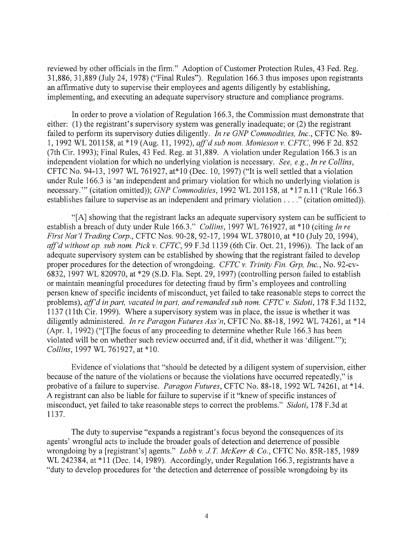reviewed by other officials in the firm." Adoption of Customer Protection Rules, 43 Fed. Reg. 31,886, 31,889 (July 24, 1978) ("Final Rules"). Regulation 166.3 thus imposes upon registrants an affirmative duty to supervise their employees and agents diligently by establishing, implementing, and executing an adequate supervisory structure and compliance programs.

In order to prove a violation of Regulation 166.3, the Commission must demonstrate that either: (1) the registrant's supervisory system was generally inadequate; or (2) the registrant failed to perform its supervisory duties diligently. *In re GNP Commodities, Inc.,* CFTC No. 89- 1, 1992 WL 201158, at \*19 (Aug. 11, 1992), *aff'd sub nom. Monieson v. CFTC,* 996 F 2d. 852 (7th Cir. 1993); Final Rules, 43 Fed. Reg. at 31,889. A violation under Regulation 166.3 is an independent violation for which no underlying violation is necessary. *See, e.g., In re Collins,*  CFTC No. 94-13, 1997 WL 761927, at\*l0 (Dec. 10, 1997) ("It is well settled that a violation under Rule 166.3 is 'an independent and primary violation for which no underlying violation is necessary."' (citation omitted)); *GNP Commodities,* 1992 WL 201158, at\* 17 n.11 ("Rule 166.3 establishes failure to supervise as an independent and primary violation .... " (citation omitted)).

"[A] showing that the registrant lacks an adequate supervisory system can be sufficient to establish a breach of duty under Rule 166.3." *Collins,* 1997 WL 761927, at \*10 (citing *In re First Nat'! Trading Corp.,* CFTC Nos. 90-28, 92-17, 1994 WL 378010, at \*10 (July 20, 1994), aff'd without op. sub nom. Pick v. CFTC, 99 F.3d 1139 (6th Cir. Oct. 21, 1996)). The lack of an adequate supervisory system can be established by showing that the registrant failed to develop proper procedures for the detection of wrongdoing. *CFTC v. Trinity Fin. Grp, Inc.,* No. 92-cv-6832, 1997 WL 820970, at \*29 (S.D. Fla. Sept. 29, 1997) (controlling person failed to establish or maintain meaningful procedures for detecting fraud by firm's employees and controlling person knew of specific incidents of misconduct, yet failed to take reasonable steps to correct the problems), *aff'd in part, vacated in part, and remanded sub nom. CFTC v. Sidoti*, 178 F.3d 1132, 1137 (11th Cir. 1999). Where a supervisory system was in place, the issue is whether it was diligently administered. *In re Paragon Futures Ass'n,* CFTC No. 88-18, 1992 WL 74261, at \*14 (Apr. 1, 1992) ("[T]he focus of any proceeding to determine whether Rule 166.3 has been violated will be on whether such review occurred and, if it did, whether it was 'diligent.'"); *Collins,* 1997 WL 761927, at \*10.

Evidence of violations that "should be detected by a diligent system of supervision, either because of the nature of the violations or because the violations have occurred repeatedly," is probative of a failure to supervise. *Paragon Futures,* CFTC No. 88-18, 1992 WL 74261, at \*14. A registrant can also be liable for failure to supervise if it "knew of specific instances of misconduct, yet failed to take reasonable steps to correct the problems." *Sidoti,* 178 F.3d at 1137.

The duty to supervise "expands a registrant's focus beyond the consequences of its agents' wrongful acts to include the broader goals of detection and deterrence of possible wrongdoing by a [registrant's] agents." *Lobb v. J T McKerr & Co.,* CFTC No. 85R-185, 1989 WL 242384, at \*11 (Dec. 14, 1989). Accordingly, under Regulation 166.3, registrants have a "duty to develop procedures for 'the detection and deterrence of possible wrongdoing by its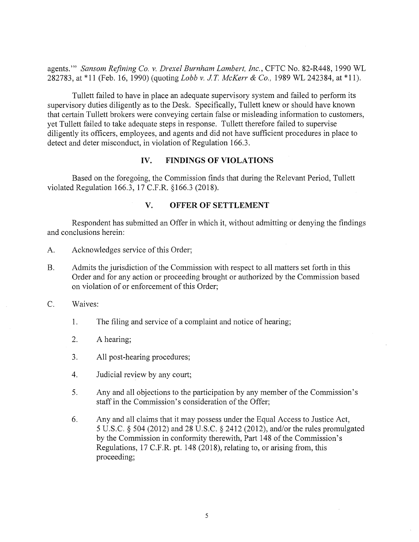agents."' *Sansom Refining Co. v. Drexel Burnham Lambert, Inc.,* CFTC No. 82-R448, 1990 WL 282783, at \*11 (Feb. 16, 1990) (quoting *Lobb v. JT McKerr & Co.,* 1989 WL 242384, at \*11).

Tullett failed to have in place an adequate supervisory system and failed to perform its supervisory duties diligently as to the Desk. Specifically, Tullett knew or should have known that certain Tullett brokers were conveying certain false or misleading information to customers, yet Tullett failed to take adequate steps in response. Tullett therefore failed to supervise diligently its officers, employees, and agents and did not have sufficient procedures in place to detect and deter misconduct, in violation of Regulation 166.3.

### **IV. FINDINGS OF VIOLATIONS**

Based on the foregoing, the Commission finds that during the Relevant Period, Tullett violated Regulation 166.3, 17 C.F.R. §166.3 (2018).

## **V. OFFER OF SETTLEMENT**

Respondent has submitted an Offer in which it, without admitting or denying the findings and conclusions herein:

- A. Acknowledges service of this Order;
- B. Admits the jurisdiction of the Commission with respect to all matters set forth in this Order and for any action or proceeding brought or authorized by the Commission based on violation of or enforcement of this Order;
- C. Waives:
	- 1. The filing and service of a complaint and notice of hearing;
	- 2. A hearing;
	- 3. All post-hearing procedures;
	- 4. Judicial review by any court;
	- 5. Any and all objections to the participation by any member of the Commission's staff in the Commission's consideration of the Offer;
	- 6. Any and all claims that it may possess under the Equal Access to Justice Act, 5 U.S.C. § 504 (2012) and 28 U.S.C. § 2412 (2012), and/or the rules promulgated by the Commission in conformity therewith, Part 148 of the Commission's Regulations, 17 C.F.R. pt. 148 (2018), relating to, or arising from, this proceeding;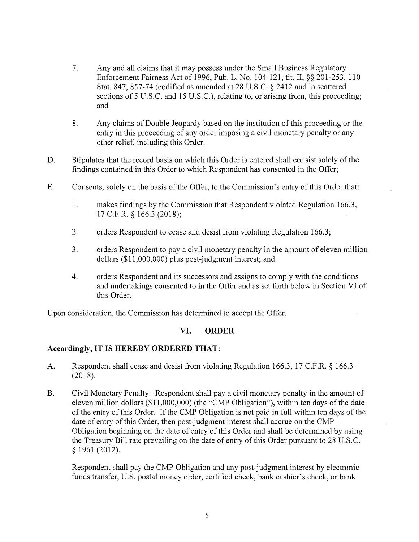- 7. Any and all claims that it may possess under the Small Business Regulatory Enforcement Fairness Act of 1996, Pub. L. No. 104-121, tit. II,§§ 201-253, 110 Stat. 847, 857-74 (codified as amended at 28 U.S.C. § 2412 and in scattered sections of 5 U.S.C. and 15 U.S.C.), relating to, or arising from, this proceeding; and
- 8. Any claims of Double Jeopardy based on the institution of this proceeding or the entry in this proceeding of any order imposing a civil monetary penalty or any other relief, including this Order.
- D. Stipulates that the record basis on which this Order is entered shall consist solely of the findings contained in this Order to which Respondent has consented in the Offer;
- E. Consents, solely on the basis of the Offer, to the Commission's entry of this Order that:
	- 1. makes findings by the Commission that Respondent violated Regulation 166.3, 17 C.F.R. § 166.3 (2018);
	- 2. orders Respondent to cease and desist from violating Regulation 166.3;
	- 3. orders Respondent to pay a civil monetary penalty in the amount of eleven million dollars (\$11,000,000) plus post-judgment interest; and
	- 4. orders Respondent and its successors and assigns to comply with the conditions and undertakings consented to in the Offer and as set forth below in Section VI of this Order.

Upon consideration, the Commission has determined to accept the Offer.

## **VI. ORDER**

# **Accordingly, IT IS HEREBY ORDERED THAT:**

- A. Respondent shall cease and desist from violating Regulation 166.3, 17 C.F.R. § 166.3 (2018).
- B. Civil Monetary Penalty: Respondent shall pay a civil monetary penalty in the amount of eleven million dollars (\$11,000,000) (the "CMP Obligation"), within ten days of the date of the entry of this Order. If the CMP Obligation is not paid in full within ten days of the date of entry of this Order, then post-judgment interest shall accrue on the CMP Obligation beginning on the date of entry of this Order and shall be determined by using the Treasury Bill rate prevailing on the date of entry of this Order pursuant to 28 U.S.C. § 1961 (2012).

Respondent shall pay the CMP Obligation and any post-judgment interest by electronic funds transfer, U.S. postal money order, certified check, bank cashier's check, or bank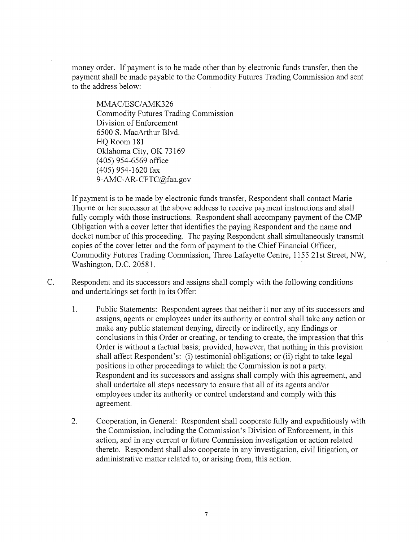money order. If payment is to be made other than by electronic funds transfer, then the payment shall be made payable to the Commodity Futures Trading Commission and sent to the address below:

MMAC/ESC/AMK326 Commodity Futures Trading Commission Division of Enforcement 6500 S. MacArthur Blvd. HQ Room 181 Oklahoma City, OK 73169 ( 405) 954-6569 office ( 405) 954-1620 fax 9-AMC-AR-CFTC@faa.gov

If payment is to be made by electronic funds transfer, Respondent shall contact Marie Thorne or her successor at the above address to receive payment instructions and shall fully comply with those instructions. Respondent shall accompany payment of the CMP Obligation with a cover letter that identifies the paying Respondent and the name and docket number of this proceeding. The paying Respondent shall simultaneously transmit copies of the cover letter and the form of payment to the Chief Financial Officer, Commodity Futures Trading Commission, Three Lafayette Centre, 1155 21st Street, NW, Washington, D.C. 20581.

- C. Respondent and its successors and assigns shall comply with the following conditions and undertakings set forth in its Offer:
	- 1. Public Statements: Respondent agrees that neither it nor any of its successors and assigns, agents or employees under its authority or control shall take any action or make any public statement denying, directly or indirectly, any findings or conclusions in this Order or creating, or tending to create, the impression that this Order is without a factual basis; provided, however, that nothing in this provision shall affect Respondent's: (i) testimonial obligations; or (ii) right to take legal positions in other proceedings to which the Commission is not a party. Respondent and its successors and assigns shall comply with this agreement, and shall undertake all steps necessary to ensure that all of its agents and/or employees under its authority or control understand and comply with this agreement.
	- 2. Cooperation, in General: Respondent shall cooperate fully and expeditiously with the Commission, including the Commission's Division of Enforcement, in this action, and in any current or future Commission investigation or action related thereto. Respondent shall also cooperate in any investigation, civil litigation, or administrative matter related to, or arising from, this action.